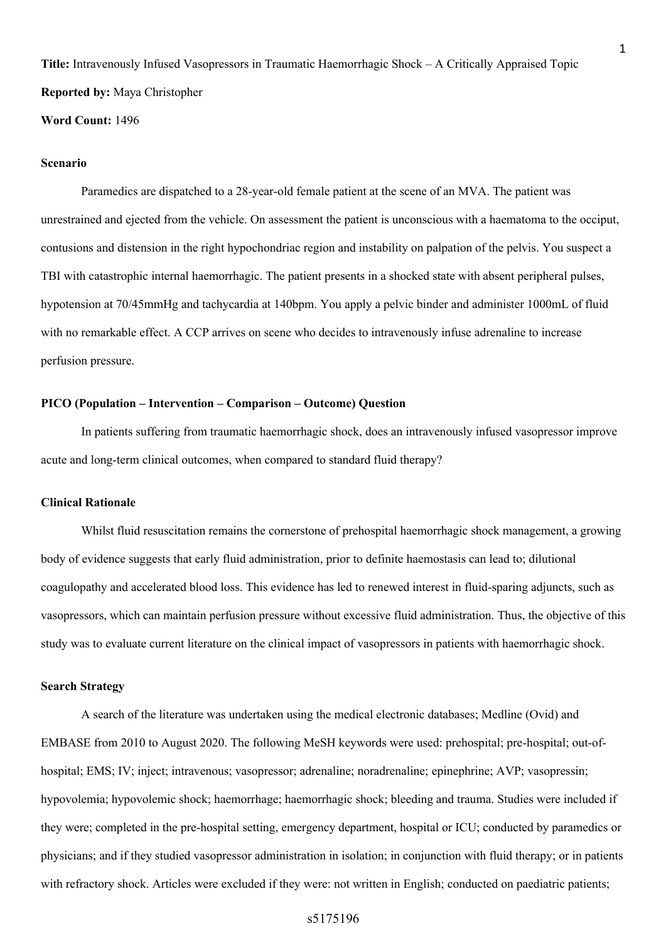**Title:** Intravenously Infused Vasopressors in Traumatic Haemorrhagic Shock – A Critically Appraised Topic **Reported by:** Maya Christopher

## **Word Count:** 1496

#### **Scenario**

Paramedics are dispatched to a 28-year-old female patient at the scene of an MVA. The patient was unrestrained and ejected from the vehicle. On assessment the patient is unconscious with a haematoma to the occiput, contusions and distension in the right hypochondriac region and instability on palpation of the pelvis. You suspect a TBI with catastrophic internal haemorrhagic. The patient presents in a shocked state with absent peripheral pulses, hypotension at 70/45mmHg and tachycardia at 140bpm. You apply a pelvic binder and administer 1000mL of fluid with no remarkable effect. A CCP arrives on scene who decides to intravenously infuse adrenaline to increase perfusion pressure.

### **PICO (Population – Intervention – Comparison – Outcome) Question**

In patients suffering from traumatic haemorrhagic shock, does an intravenously infused vasopressor improve acute and long-term clinical outcomes, when compared to standard fluid therapy?

#### **Clinical Rationale**

Whilst fluid resuscitation remains the cornerstone of prehospital haemorrhagic shock management, a growing body of evidence suggests that early fluid administration, prior to definite haemostasis can lead to; dilutional coagulopathy and accelerated blood loss. This evidence has led to renewed interest in fluid-sparing adjuncts, such as vasopressors, which can maintain perfusion pressure without excessive fluid administration. Thus, the objective of this study was to evaluate current literature on the clinical impact of vasopressors in patients with haemorrhagic shock.

### **Search Strategy**

A search of the literature was undertaken using the medical electronic databases; Medline (Ovid) and EMBASE from 2010 to August 2020. The following MeSH keywords were used: prehospital; pre-hospital; out-ofhospital; EMS; IV; inject; intravenous; vasopressor; adrenaline; noradrenaline; epinephrine; AVP; vasopressin; hypovolemia; hypovolemic shock; haemorrhage; haemorrhagic shock; bleeding and trauma. Studies were included if they were; completed in the pre-hospital setting, emergency department, hospital or ICU; conducted by paramedics or physicians; and if they studied vasopressor administration in isolation; in conjunction with fluid therapy; or in patients with refractory shock. Articles were excluded if they were: not written in English; conducted on paediatric patients;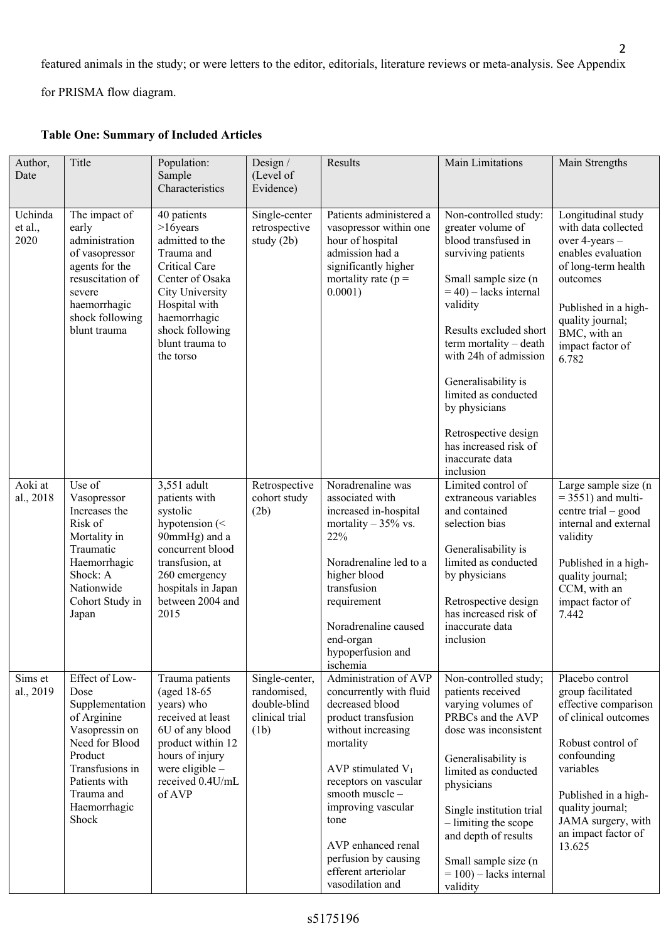featured animals in the study; or were letters to the editor, editorials, literature reviews or meta-analysis. See Appendix

for PRISMA flow diagram.

| Author,<br>Date            | Title                                                                                                                                                                              | Population:<br>Sample<br>Characteristics                                                                                                                                                               | Design $/$<br>(Level of<br>Evidence)                                    | Results                                                                                                                                                                                                                                                                                                                 | Main Limitations                                                                                                                                                                                                                                                                                                                                                                      | Main Strengths                                                                                                                                                                                                                           |
|----------------------------|------------------------------------------------------------------------------------------------------------------------------------------------------------------------------------|--------------------------------------------------------------------------------------------------------------------------------------------------------------------------------------------------------|-------------------------------------------------------------------------|-------------------------------------------------------------------------------------------------------------------------------------------------------------------------------------------------------------------------------------------------------------------------------------------------------------------------|---------------------------------------------------------------------------------------------------------------------------------------------------------------------------------------------------------------------------------------------------------------------------------------------------------------------------------------------------------------------------------------|------------------------------------------------------------------------------------------------------------------------------------------------------------------------------------------------------------------------------------------|
| Uchinda<br>et al.,<br>2020 | The impact of<br>early<br>administration<br>of vasopressor<br>agents for the<br>resuscitation of<br>severe<br>haemorrhagic<br>shock following<br>blunt trauma                      | 40 patients<br>$>16$ years<br>admitted to the<br>Trauma and<br>Critical Care<br>Center of Osaka<br>City University<br>Hospital with<br>haemorrhagic<br>shock following<br>blunt trauma to<br>the torso | Single-center<br>retrospective<br>study $(2b)$                          | Patients administered a<br>vasopressor within one<br>hour of hospital<br>admission had a<br>significantly higher<br>mortality rate ( $p =$<br>0.0001)                                                                                                                                                                   | Non-controlled study:<br>greater volume of<br>blood transfused in<br>surviving patients<br>Small sample size (n<br>$=$ 40) – lacks internal<br>validity<br>Results excluded short<br>term mortality - death<br>with 24h of admission<br>Generalisability is<br>limited as conducted<br>by physicians<br>Retrospective design<br>has increased risk of<br>inaccurate data<br>inclusion | Longitudinal study<br>with data collected<br>over 4-years -<br>enables evaluation<br>of long-term health<br>outcomes<br>Published in a high-<br>quality journal;<br>BMC, with an<br>impact factor of<br>6.782                            |
| Aoki at<br>al., 2018       | Use of<br>Vasopressor<br>Increases the<br>Risk of<br>Mortality in<br>Traumatic<br>Haemorrhagic<br>Shock: A<br>Nationwide<br>Cohort Study in<br>Japan                               | 3,551 adult<br>patients with<br>systolic<br>hypotension $(<$<br>90mmHg) and a<br>concurrent blood<br>transfusion, at<br>260 emergency<br>hospitals in Japan<br>between 2004 and<br>2015                | Retrospective<br>cohort study<br>(2b)                                   | Noradrenaline was<br>associated with<br>increased in-hospital<br>mortality $-35\%$ vs.<br>22%<br>Noradrenaline led to a<br>higher blood<br>transfusion<br>requirement<br>Noradrenaline caused<br>end-organ<br>hypoperfusion and<br>ischemia                                                                             | Limited control of<br>extraneous variables<br>and contained<br>selection bias<br>Generalisability is<br>limited as conducted<br>by physicians<br>Retrospective design<br>has increased risk of<br>inaccurate data<br>inclusion                                                                                                                                                        | Large sample size (n<br>$=$ 3551) and multi-<br>centre trial $-$ good<br>internal and external<br>validity<br>Published in a high-<br>quality journal;<br>CCM, with an<br>impact factor of<br>7.442                                      |
| Sims et<br>al., 2019       | Effect of Low-<br>Dose<br>Supplementation<br>of Arginine<br>Vasopressin on<br>Need for Blood<br>Product<br>Transfusions in<br>Patients with<br>Trauma and<br>Haemorrhagic<br>Shock | Trauma patients<br>(aged 18-65)<br>years) who<br>received at least<br>6U of any blood<br>product within 12<br>hours of injury<br>were eligible -<br>received 0.4U/mL<br>of AVP                         | Single-center,<br>randomised,<br>double-blind<br>clinical trial<br>(1b) | Administration of AVP<br>concurrently with fluid<br>decreased blood<br>product transfusion<br>without increasing<br>mortality<br>AVP stimulated $V_1$<br>receptors on vascular<br>smooth muscle-<br>improving vascular<br>tone<br>AVP enhanced renal<br>perfusion by causing<br>efferent arteriolar<br>vasodilation and | Non-controlled study;<br>patients received<br>varying volumes of<br>PRBCs and the AVP<br>dose was inconsistent<br>Generalisability is<br>limited as conducted<br>physicians<br>Single institution trial<br>- limiting the scope<br>and depth of results<br>Small sample size (n<br>$= 100$ ) – lacks internal<br>validity                                                             | Placebo control<br>group facilitated<br>effective comparison<br>of clinical outcomes<br>Robust control of<br>confounding<br>variables<br>Published in a high-<br>quality journal;<br>JAMA surgery, with<br>an impact factor of<br>13.625 |

# **Table One: Summary of Included Articles**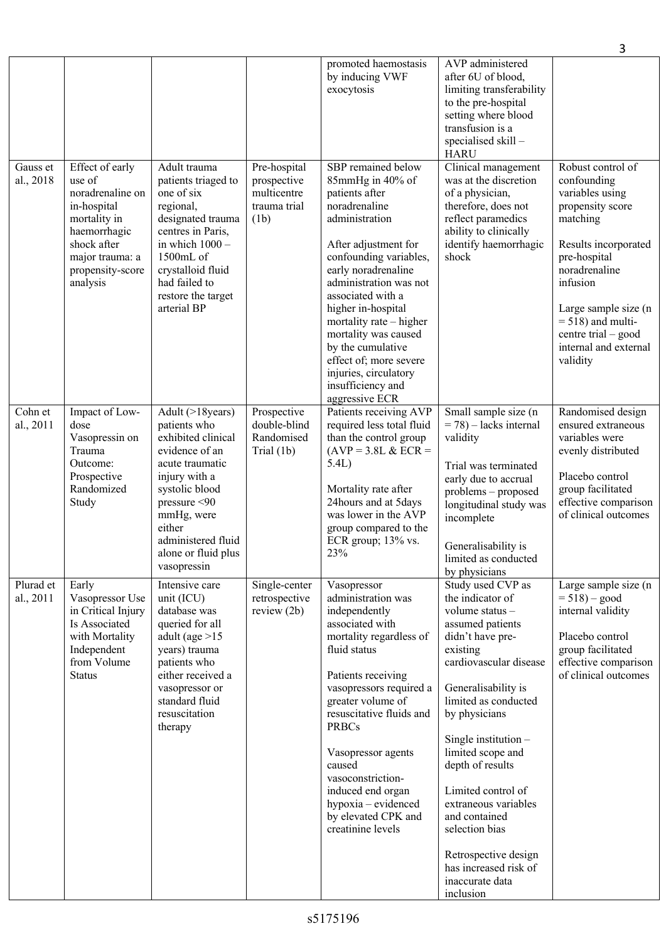|                        |                                                                                                                                                                |                                                                                                                                                                                                                                      |                                                                    |                                                                                                                                                                                                                                                                                                                                                                                                             |                                                                                                                                                                                                                                                                                                                                                                                                                                             | 3                                                                                                                                                                                                                                                                    |
|------------------------|----------------------------------------------------------------------------------------------------------------------------------------------------------------|--------------------------------------------------------------------------------------------------------------------------------------------------------------------------------------------------------------------------------------|--------------------------------------------------------------------|-------------------------------------------------------------------------------------------------------------------------------------------------------------------------------------------------------------------------------------------------------------------------------------------------------------------------------------------------------------------------------------------------------------|---------------------------------------------------------------------------------------------------------------------------------------------------------------------------------------------------------------------------------------------------------------------------------------------------------------------------------------------------------------------------------------------------------------------------------------------|----------------------------------------------------------------------------------------------------------------------------------------------------------------------------------------------------------------------------------------------------------------------|
|                        |                                                                                                                                                                |                                                                                                                                                                                                                                      |                                                                    | promoted haemostasis<br>by inducing VWF<br>exocytosis                                                                                                                                                                                                                                                                                                                                                       | AVP administered<br>after 6U of blood,<br>limiting transferability<br>to the pre-hospital<br>setting where blood<br>transfusion is a<br>specialised skill -<br><b>HARU</b>                                                                                                                                                                                                                                                                  |                                                                                                                                                                                                                                                                      |
| Gauss et<br>al., 2018  | Effect of early<br>use of<br>noradrenaline on<br>in-hospital<br>mortality in<br>haemorrhagic<br>shock after<br>major trauma: a<br>propensity-score<br>analysis | Adult trauma<br>patients triaged to<br>one of six<br>regional,<br>designated trauma<br>centres in Paris,<br>in which $1000 -$<br>1500mL of<br>crystalloid fluid<br>had failed to<br>restore the target<br>arterial BP                | Pre-hospital<br>prospective<br>multicentre<br>trauma trial<br>(1b) | SBP remained below<br>85mmHg in 40% of<br>patients after<br>noradrenaline<br>administration<br>After adjustment for<br>confounding variables,<br>early noradrenaline<br>administration was not<br>associated with a<br>higher in-hospital<br>mortality rate - higher<br>mortality was caused<br>by the cumulative<br>effect of; more severe<br>injuries, circulatory<br>insufficiency and<br>aggressive ECR | Clinical management<br>was at the discretion<br>of a physician,<br>therefore, does not<br>reflect paramedics<br>ability to clinically<br>identify haemorrhagic<br>shock                                                                                                                                                                                                                                                                     | Robust control of<br>confounding<br>variables using<br>propensity score<br>matching<br>Results incorporated<br>pre-hospital<br>noradrenaline<br>infusion<br>Large sample size (n<br>$= 518$ ) and multi-<br>centre trial – good<br>internal and external<br>validity |
| Cohn et<br>al., 2011   | Impact of Low-<br>dose<br>Vasopressin on<br>Trauma<br>Outcome:<br>Prospective<br>Randomized<br>Study                                                           | Adult (>18 years)<br>patients who<br>exhibited clinical<br>evidence of an<br>acute traumatic<br>injury with a<br>systolic blood<br>pressure < 90<br>mmHg, were<br>either<br>administered fluid<br>alone or fluid plus<br>vasopressin | Prospective<br>double-blind<br>Randomised<br>Trial (1b)            | Patients receiving AVP<br>required less total fluid<br>than the control group<br>$(AVP = 3.8L \& ECR =$<br>5.4L)<br>Mortality rate after<br>24 hours and at 5 days<br>was lower in the AVP<br>group compared to the<br>ECR group; 13% vs.<br>23%                                                                                                                                                            | Small sample size (n<br>$= 78$ ) – lacks internal<br>validity<br>Trial was terminated<br>early due to accrual<br>problems - proposed<br>longitudinal study was<br>incomplete<br>Generalisability is<br>limited as conducted<br>by physicians                                                                                                                                                                                                | Randomised design<br>ensured extraneous<br>variables were<br>evenly distributed<br>Placebo control<br>group facilitated<br>effective comparison<br>of clinical outcomes                                                                                              |
| Plurad et<br>al., 2011 | Early<br>Vasopressor Use<br>in Critical Injury<br>Is Associated<br>with Mortality<br>Independent<br>from Volume<br><b>Status</b>                               | Intensive care<br>unit (ICU)<br>database was<br>queried for all<br>adult (age $>15$<br>years) trauma<br>patients who<br>either received a<br>vasopressor or<br>standard fluid<br>resuscitation<br>therapy                            | Single-center<br>retrospective<br>review $(2b)$                    | Vasopressor<br>administration was<br>independently<br>associated with<br>mortality regardless of<br>fluid status<br>Patients receiving<br>vasopressors required a<br>greater volume of<br>resuscitative fluids and<br><b>PRBCs</b><br>Vasopressor agents<br>caused<br>vasoconstriction-<br>induced end organ<br>hypoxia - evidenced<br>by elevated CPK and<br>creatinine levels                             | Study used CVP as<br>the indicator of<br>volume status -<br>assumed patients<br>didn't have pre-<br>existing<br>cardiovascular disease<br>Generalisability is<br>limited as conducted<br>by physicians<br>Single institution $-$<br>limited scope and<br>depth of results<br>Limited control of<br>extraneous variables<br>and contained<br>selection bias<br>Retrospective design<br>has increased risk of<br>inaccurate data<br>inclusion | Large sample size (n<br>$= 518$ ) – good<br>internal validity<br>Placebo control<br>group facilitated<br>effective comparison<br>of clinical outcomes                                                                                                                |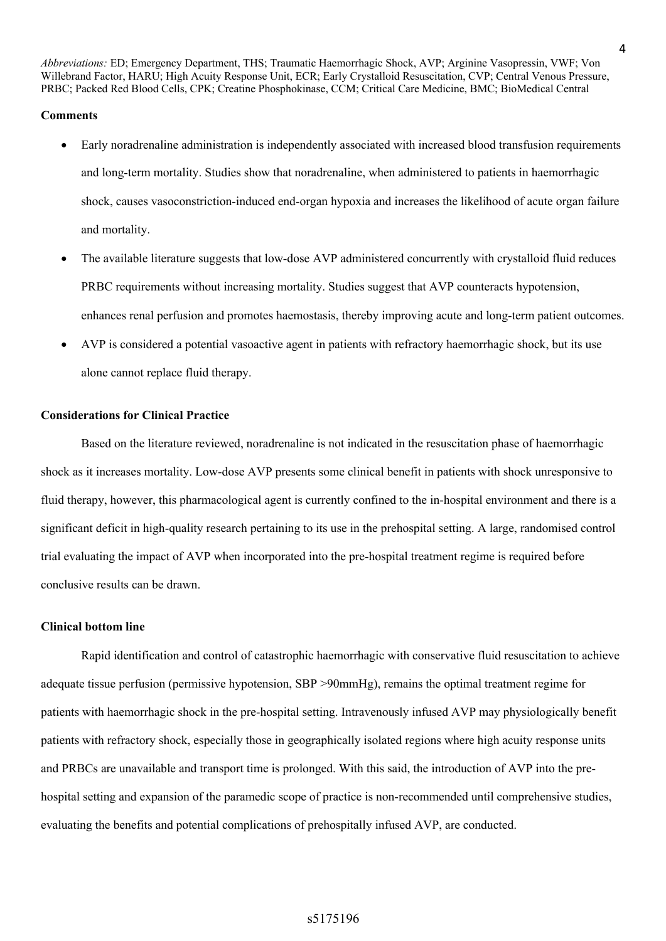*Abbreviations:* ED; Emergency Department, THS; Traumatic Haemorrhagic Shock, AVP; Arginine Vasopressin, VWF; Von Willebrand Factor, HARU; High Acuity Response Unit, ECR; Early Crystalloid Resuscitation, CVP; Central Venous Pressure, PRBC; Packed Red Blood Cells, CPK; Creatine Phosphokinase, CCM; Critical Care Medicine, BMC; BioMedical Central

## **Comments**

- Early noradrenaline administration is independently associated with increased blood transfusion requirements and long-term mortality. Studies show that noradrenaline, when administered to patients in haemorrhagic shock, causes vasoconstriction-induced end-organ hypoxia and increases the likelihood of acute organ failure and mortality.
- The available literature suggests that low-dose AVP administered concurrently with crystalloid fluid reduces PRBC requirements without increasing mortality. Studies suggest that AVP counteracts hypotension, enhances renal perfusion and promotes haemostasis, thereby improving acute and long-term patient outcomes.
- AVP is considered a potential vasoactive agent in patients with refractory haemorrhagic shock, but its use alone cannot replace fluid therapy.

## **Considerations for Clinical Practice**

Based on the literature reviewed, noradrenaline is not indicated in the resuscitation phase of haemorrhagic shock as it increases mortality. Low-dose AVP presents some clinical benefit in patients with shock unresponsive to fluid therapy, however, this pharmacological agent is currently confined to the in-hospital environment and there is a significant deficit in high-quality research pertaining to its use in the prehospital setting. A large, randomised control trial evaluating the impact of AVP when incorporated into the pre-hospital treatment regime is required before conclusive results can be drawn.

#### **Clinical bottom line**

Rapid identification and control of catastrophic haemorrhagic with conservative fluid resuscitation to achieve adequate tissue perfusion (permissive hypotension, SBP >90mmHg), remains the optimal treatment regime for patients with haemorrhagic shock in the pre-hospital setting. Intravenously infused AVP may physiologically benefit patients with refractory shock, especially those in geographically isolated regions where high acuity response units and PRBCs are unavailable and transport time is prolonged. With this said, the introduction of AVP into the prehospital setting and expansion of the paramedic scope of practice is non-recommended until comprehensive studies, evaluating the benefits and potential complications of prehospitally infused AVP, are conducted.

## s5175196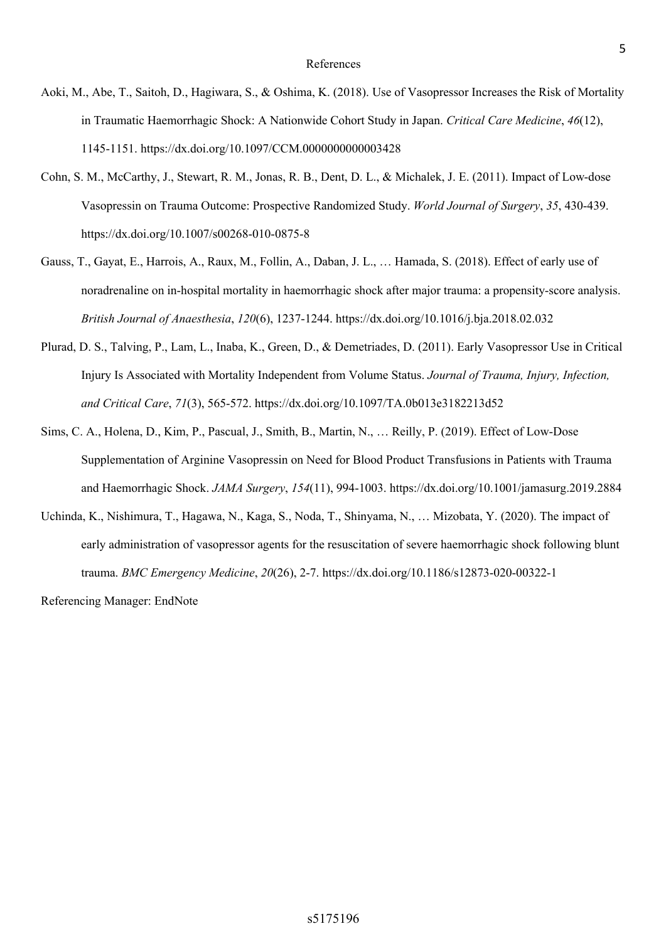- Aoki, M., Abe, T., Saitoh, D., Hagiwara, S., & Oshima, K. (2018). Use of Vasopressor Increases the Risk of Mortality in Traumatic Haemorrhagic Shock: A Nationwide Cohort Study in Japan. *Critical Care Medicine*, *46*(12), 1145-1151. https://dx.doi.org/10.1097/CCM.0000000000003428
- Cohn, S. M., McCarthy, J., Stewart, R. M., Jonas, R. B., Dent, D. L., & Michalek, J. E. (2011). Impact of Low-dose Vasopressin on Trauma Outcome: Prospective Randomized Study. *World Journal of Surgery*, *35*, 430-439. https://dx.doi.org/10.1007/s00268-010-0875-8
- Gauss, T., Gayat, E., Harrois, A., Raux, M., Follin, A., Daban, J. L., … Hamada, S. (2018). Effect of early use of noradrenaline on in-hospital mortality in haemorrhagic shock after major trauma: a propensity-score analysis. *British Journal of Anaesthesia*, *120*(6), 1237-1244. https://dx.doi.org/10.1016/j.bja.2018.02.032
- Plurad, D. S., Talving, P., Lam, L., Inaba, K., Green, D., & Demetriades, D. (2011). Early Vasopressor Use in Critical Injury Is Associated with Mortality Independent from Volume Status. *Journal of Trauma, Injury, Infection, and Critical Care*, *71*(3), 565-572. https://dx.doi.org/10.1097/TA.0b013e3182213d52
- Sims, C. A., Holena, D., Kim, P., Pascual, J., Smith, B., Martin, N., … Reilly, P. (2019). Effect of Low-Dose Supplementation of Arginine Vasopressin on Need for Blood Product Transfusions in Patients with Trauma and Haemorrhagic Shock. *JAMA Surgery*, *154*(11), 994-1003. https://dx.doi.org/10.1001/jamasurg.2019.2884
- Uchinda, K., Nishimura, T., Hagawa, N., Kaga, S., Noda, T., Shinyama, N., … Mizobata, Y. (2020). The impact of early administration of vasopressor agents for the resuscitation of severe haemorrhagic shock following blunt trauma. *BMC Emergency Medicine*, *20*(26), 2-7. https://dx.doi.org/10.1186/s12873-020-00322-1

Referencing Manager: EndNote